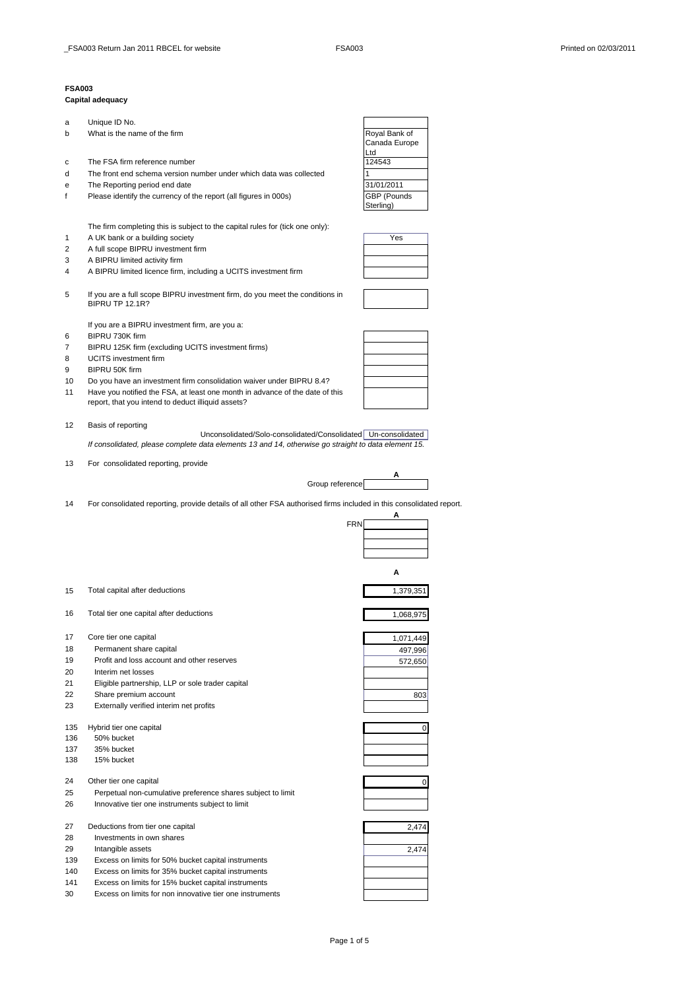## **FSA003**

## **Capital adequacy**

| а   | Unique ID No.                                                                                                       |                    |
|-----|---------------------------------------------------------------------------------------------------------------------|--------------------|
| b   | What is the name of the firm                                                                                        | Royal Bank of      |
|     |                                                                                                                     | Canada Europe      |
|     |                                                                                                                     | Ltd                |
| с   | The FSA firm reference number                                                                                       | 124543             |
| d   | The front end schema version number under which data was collected                                                  |                    |
| е   | The Reporting period end date                                                                                       | 31/01/2011         |
| f   | Please identify the currency of the report (all figures in 000s)                                                    | <b>GBP (Pounds</b> |
|     |                                                                                                                     | Sterling)          |
|     |                                                                                                                     |                    |
|     | The firm completing this is subject to the capital rules for (tick one only):                                       |                    |
|     |                                                                                                                     |                    |
| 1   | A UK bank or a building society                                                                                     | Yes                |
| 2   | A full scope BIPRU investment firm                                                                                  |                    |
| 3   | A BIPRU limited activity firm                                                                                       |                    |
| 4   | A BIPRU limited licence firm, including a UCITS investment firm                                                     |                    |
|     |                                                                                                                     |                    |
| 5   | If you are a full scope BIPRU investment firm, do you meet the conditions in<br><b>BIPRU TP 12.1R?</b>              |                    |
|     |                                                                                                                     |                    |
|     | If you are a BIPRU investment firm, are you a:                                                                      |                    |
| 6   | BIPRU 730K firm                                                                                                     |                    |
| 7   |                                                                                                                     |                    |
|     | BIPRU 125K firm (excluding UCITS investment firms)                                                                  |                    |
| 8   | <b>UCITS</b> investment firm                                                                                        |                    |
| 9   | BIPRU 50K firm                                                                                                      |                    |
| 10  | Do you have an investment firm consolidation waiver under BIPRU 8.4?                                                |                    |
| 11  | Have you notified the FSA, at least one month in advance of the date of this                                        |                    |
|     | report, that you intend to deduct illiquid assets?                                                                  |                    |
|     |                                                                                                                     |                    |
| 12  | Basis of reporting                                                                                                  |                    |
|     | Unconsolidated/Solo-consolidated/Consolidated   Un-consolidated                                                     |                    |
|     | If consolidated, please complete data elements 13 and 14, otherwise go straight to data element 15.                 |                    |
|     |                                                                                                                     |                    |
| 13  | For consolidated reporting, provide                                                                                 |                    |
|     |                                                                                                                     | A                  |
|     | Group reference                                                                                                     |                    |
|     |                                                                                                                     |                    |
|     |                                                                                                                     |                    |
| 14  | For consolidated reporting, provide details of all other FSA authorised firms included in this consolidated report. |                    |
|     |                                                                                                                     | А                  |
|     | <b>FRN</b>                                                                                                          |                    |
|     |                                                                                                                     |                    |
|     |                                                                                                                     |                    |
|     |                                                                                                                     |                    |
|     |                                                                                                                     |                    |
|     |                                                                                                                     | А                  |
|     |                                                                                                                     |                    |
| 15  | Total capital after deductions                                                                                      | 1,379,351          |
|     |                                                                                                                     |                    |
| 16  | Total tier one capital after deductions                                                                             | 1,068,975          |
|     |                                                                                                                     |                    |
| 17  | Core tier one capital                                                                                               | 1,071,449          |
| 18  | Permanent share capital                                                                                             | 497,996            |
| 19  | Profit and loss account and other reserves                                                                          |                    |
|     |                                                                                                                     | 572,650            |
| 20  | Interim net losses                                                                                                  |                    |
| 21  | Eligible partnership, LLP or sole trader capital                                                                    |                    |
| 22  | Share premium account                                                                                               | 803                |
| 23  | Externally verified interim net profits                                                                             |                    |
|     |                                                                                                                     |                    |
| 135 | Hybrid tier one capital                                                                                             | 0                  |
| 136 | 50% bucket                                                                                                          |                    |
| 137 | 35% bucket                                                                                                          |                    |
| 138 | 15% bucket                                                                                                          |                    |
|     |                                                                                                                     |                    |
| 24  | Other tier one capital                                                                                              | 0                  |
| 25  | Perpetual non-cumulative preference shares subject to limit                                                         |                    |
| 26  |                                                                                                                     |                    |
|     | Innovative tier one instruments subject to limit                                                                    |                    |
|     |                                                                                                                     |                    |
| 27  | Deductions from tier one capital                                                                                    | 2,474              |
| 28  | Investments in own shares                                                                                           |                    |
| 29  | Intangible assets                                                                                                   | 2,474              |
| 139 | Excess on limits for 50% bucket capital instruments                                                                 |                    |
| 140 | Excess on limits for 35% bucket capital instruments                                                                 |                    |
| 141 | Excess on limits for 15% bucket capital instruments                                                                 |                    |

Page 1 of 5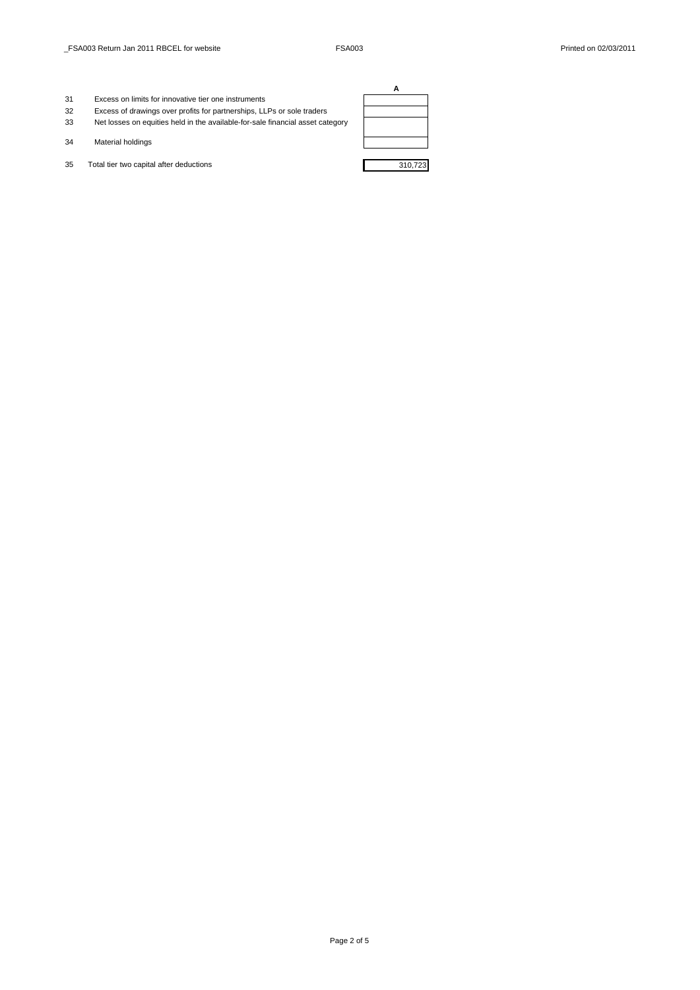- 31 Excess on limits for innovative tier one instruments
- 32 Excess of drawings over profits for partnerships, LLPs or sole traders 33 Net losses on equities held in the available-for-sale financial asset category
- 34 Material holdings
- 35 Total tier two capital after deductions 310,723

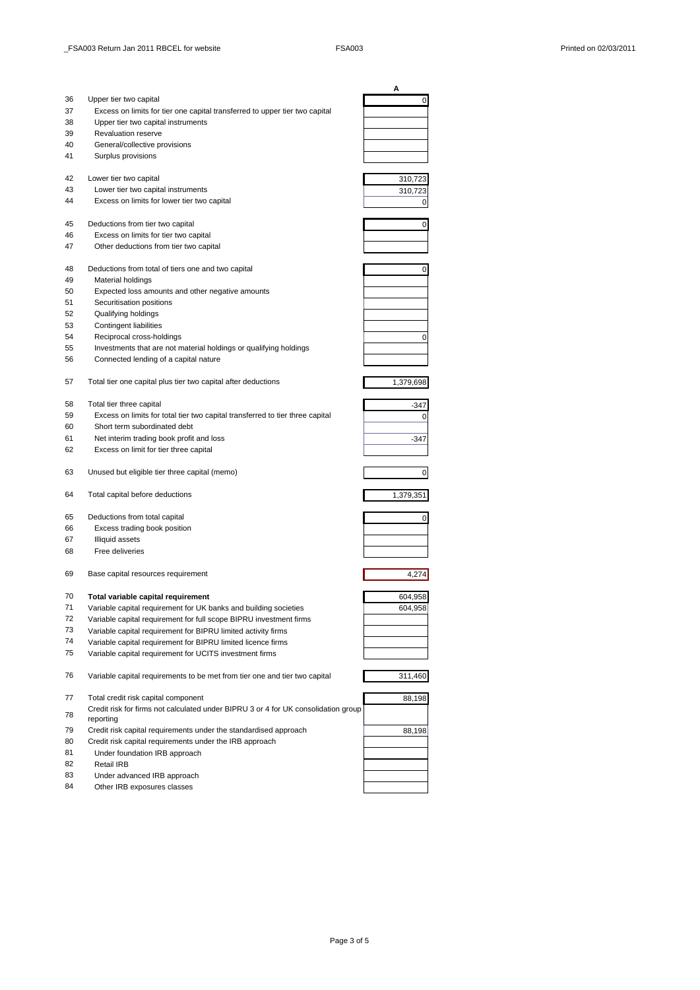|    |                                                                                    | A         |
|----|------------------------------------------------------------------------------------|-----------|
| 36 | Upper tier two capital                                                             | 0         |
| 37 | Excess on limits for tier one capital transferred to upper tier two capital        |           |
| 38 | Upper tier two capital instruments                                                 |           |
| 39 | <b>Revaluation reserve</b>                                                         |           |
| 40 | General/collective provisions                                                      |           |
| 41 | Surplus provisions                                                                 |           |
|    |                                                                                    |           |
| 42 | Lower tier two capital                                                             | 310,723   |
| 43 | Lower tier two capital instruments                                                 | 310,723   |
| 44 | Excess on limits for lower tier two capital                                        | 0         |
|    |                                                                                    |           |
| 45 | Deductions from tier two capital                                                   | 0         |
| 46 | Excess on limits for tier two capital                                              |           |
| 47 | Other deductions from tier two capital                                             |           |
|    |                                                                                    |           |
| 48 | Deductions from total of tiers one and two capital                                 | 0         |
| 49 | Material holdings                                                                  |           |
| 50 | Expected loss amounts and other negative amounts                                   |           |
| 51 | Securitisation positions                                                           |           |
| 52 | Qualifying holdings                                                                |           |
| 53 | <b>Contingent liabilities</b>                                                      |           |
| 54 | Reciprocal cross-holdings                                                          | 0         |
| 55 | Investments that are not material holdings or qualifying holdings                  |           |
| 56 | Connected lending of a capital nature                                              |           |
|    |                                                                                    |           |
| 57 | Total tier one capital plus tier two capital after deductions                      | 1,379,698 |
|    |                                                                                    |           |
| 58 | Total tier three capital                                                           | -347      |
| 59 | Excess on limits for total tier two capital transferred to tier three capital      | 0         |
| 60 | Short term subordinated debt                                                       |           |
| 61 | Net interim trading book profit and loss                                           | $-347$    |
| 62 | Excess on limit for tier three capital                                             |           |
|    |                                                                                    |           |
| 63 | Unused but eligible tier three capital (memo)                                      | 0         |
|    |                                                                                    |           |
| 64 | Total capital before deductions                                                    | 1,379,351 |
|    |                                                                                    |           |
| 65 | Deductions from total capital                                                      | 0         |
| 66 | Excess trading book position                                                       |           |
| 67 | <b>Illiquid assets</b>                                                             |           |
| 68 | Free deliveries                                                                    |           |
|    |                                                                                    |           |
| 69 | Base capital resources requirement                                                 | 4,274     |
|    |                                                                                    |           |
| 70 | Total variable capital requirement                                                 | 604,958   |
| 71 | Variable capital requirement for UK banks and building societies                   | 604,958   |
| 72 | Variable capital requirement for full scope BIPRU investment firms                 |           |
| 73 | Variable capital requirement for BIPRU limited activity firms                      |           |
| 74 | Variable capital requirement for BIPRU limited licence firms                       |           |
| 75 | Variable capital requirement for UCITS investment firms                            |           |
|    |                                                                                    |           |
| 76 | Variable capital requirements to be met from tier one and tier two capital         | 311,460   |
|    |                                                                                    |           |
| 77 | Total credit risk capital component                                                | 88,198    |
|    | Credit risk for firms not calculated under BIPRU 3 or 4 for UK consolidation group |           |
| 78 | reporting                                                                          |           |
| 79 | Credit risk capital requirements under the standardised approach                   | 88,198    |
| 80 | Credit risk capital requirements under the IRB approach                            |           |
| 81 | Under foundation IRB approach                                                      |           |
| 82 | Retail IRB                                                                         |           |
| 83 | Under advanced IRB approach                                                        |           |
| 84 | Other IRB exposures classes                                                        |           |
|    |                                                                                    |           |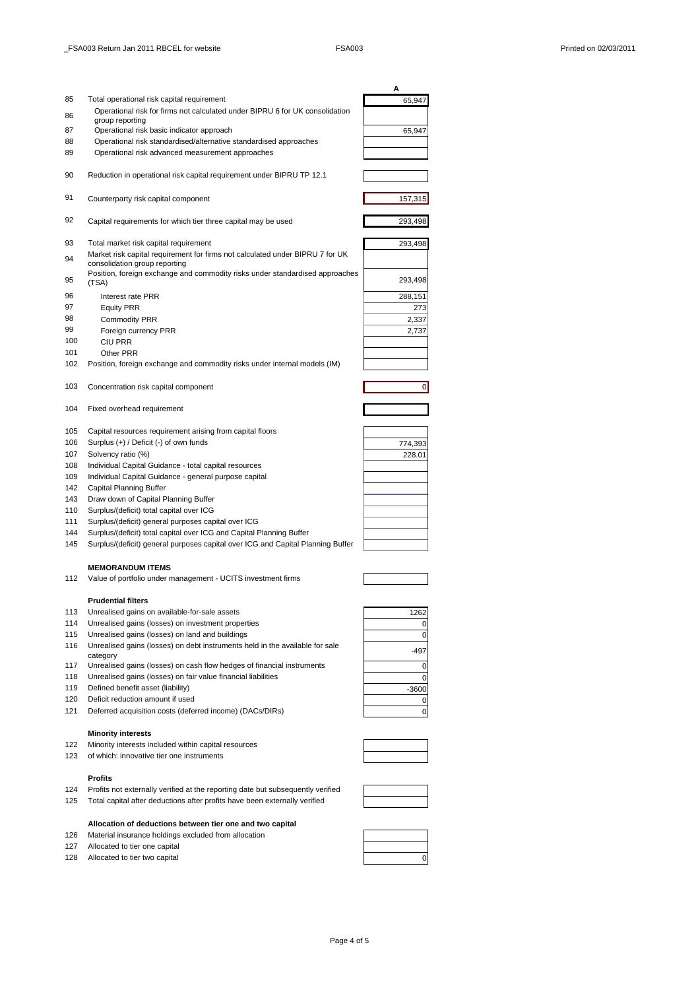|            |                                                                                                                                                         | Α              |
|------------|---------------------------------------------------------------------------------------------------------------------------------------------------------|----------------|
| 85         | Total operational risk capital requirement                                                                                                              | 65,947         |
| 86         | Operational risk for firms not calculated under BIPRU 6 for UK consolidation                                                                            |                |
| 87         | group reporting<br>Operational risk basic indicator approach                                                                                            |                |
| 88         | Operational risk standardised/alternative standardised approaches                                                                                       | 65,947         |
| 89         | Operational risk advanced measurement approaches                                                                                                        |                |
|            |                                                                                                                                                         |                |
| 90         | Reduction in operational risk capital requirement under BIPRU TP 12.1                                                                                   |                |
| 91         | Counterparty risk capital component                                                                                                                     | 157,315        |
| 92         | Capital requirements for which tier three capital may be used                                                                                           | 293,498        |
| 93         | Total market risk capital requirement                                                                                                                   | 293,498        |
| 94         | Market risk capital requirement for firms not calculated under BIPRU 7 for UK<br>consolidation group reporting                                          |                |
| 95         | Position, foreign exchange and commodity risks under standardised approaches<br>(TSA)                                                                   | 293,498        |
| 96         | Interest rate PRR                                                                                                                                       | 288,151        |
| 97         | <b>Equity PRR</b>                                                                                                                                       | 273            |
| 98         | <b>Commodity PRR</b>                                                                                                                                    | 2,337          |
| 99         | Foreign currency PRR                                                                                                                                    | 2,737          |
| 100        | CIU PRR                                                                                                                                                 |                |
| 101        | Other PRR                                                                                                                                               |                |
| 102        | Position, foreign exchange and commodity risks under internal models (IM)                                                                               |                |
| 103        | Concentration risk capital component                                                                                                                    | $\overline{0}$ |
| 104        | Fixed overhead requirement                                                                                                                              |                |
| 105        | Capital resources requirement arising from capital floors                                                                                               |                |
| 106        | Surplus (+) / Deficit (-) of own funds                                                                                                                  | 774,393        |
| 107        | Solvency ratio (%)                                                                                                                                      | 228.01         |
| 108        | Individual Capital Guidance - total capital resources                                                                                                   |                |
| 109        | Individual Capital Guidance - general purpose capital                                                                                                   |                |
| 142        | Capital Planning Buffer                                                                                                                                 |                |
| 143        | Draw down of Capital Planning Buffer                                                                                                                    |                |
| 110        | Surplus/(deficit) total capital over ICG                                                                                                                |                |
| 111<br>144 | Surplus/(deficit) general purposes capital over ICG                                                                                                     |                |
| 145        | Surplus/(deficit) total capital over ICG and Capital Planning Buffer<br>Surplus/(deficit) general purposes capital over ICG and Capital Planning Buffer |                |
|            |                                                                                                                                                         |                |
| 112        | <b>MEMORANDUM ITEMS</b><br>Value of portfolio under management - UCITS investment firms                                                                 |                |
|            |                                                                                                                                                         |                |
| 113        | <b>Prudential filters</b><br>Unrealised gains on available-for-sale assets                                                                              |                |
| 114        | Unrealised gains (losses) on investment properties                                                                                                      | 1262<br>0      |
| 115        | Unrealised gains (losses) on land and buildings                                                                                                         | 0              |
| 116        | Unrealised gains (losses) on debt instruments held in the available for sale                                                                            |                |
|            | category                                                                                                                                                | $-497$         |
| 117        | Unrealised gains (losses) on cash flow hedges of financial instruments                                                                                  | 0              |
| 118        | Unrealised gains (losses) on fair value financial liabilities                                                                                           | 0              |
| 119        | Defined benefit asset (liability)                                                                                                                       | $-3600$        |
| 120        | Deficit reduction amount if used                                                                                                                        | 0              |
| 121        | Deferred acquisition costs (deferred income) (DACs/DIRs)                                                                                                | 0              |
|            | <b>Minority interests</b>                                                                                                                               |                |
| 122        | Minority interests included within capital resources                                                                                                    |                |
| 123        | of which: innovative tier one instruments                                                                                                               |                |
|            | Profits                                                                                                                                                 |                |
| 124        | Profits not externally verified at the reporting date but subsequently verified                                                                         |                |

125 Total capital after deductions after profits have been externally verified

## **Allocation of deductions between tier one and two capital** 126 Material insurance holdings excluded from allocation

- 127 Allocated to tier one capital
- 
- 128 Allocated to tier two capital



Page 4 of 5